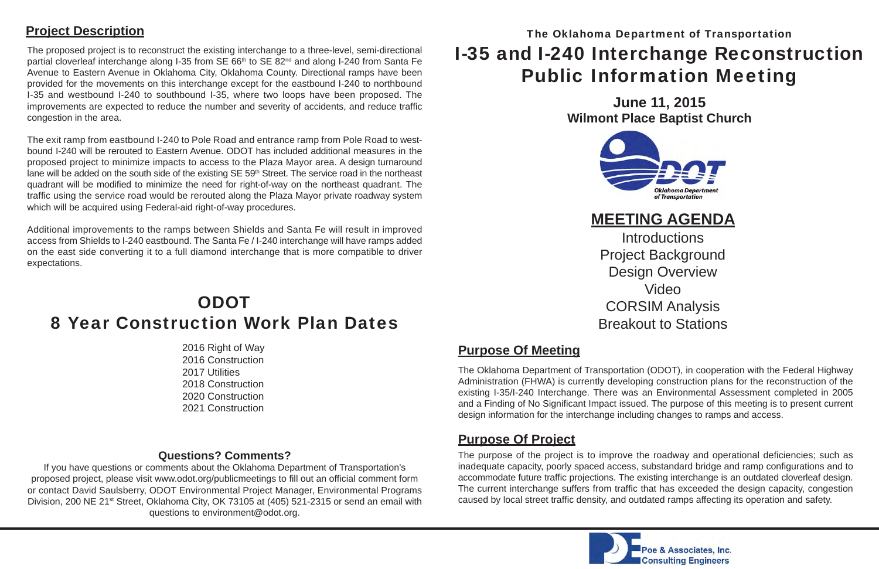The proposed project is to reconstruct the existing interchange to a three-level, semi-directional partial cloverleaf interchange along I-35 from SE 66<sup>th</sup> to SE 82<sup>nd</sup> and along I-240 from Santa Fe Avenue to Eastern Avenue in Oklahoma City, Oklahoma County. Directional ramps have been provided for the movements on this interchange except for the eastbound I-240 to northbound I-35 and westbound I-240 to southbound I-35, where two loops have been proposed. The improvements are expected to reduce the number and severity of accidents, and reduce traffic congestion in the area.

The exit ramp from eastbound I-240 to Pole Road and entrance ramp from Pole Road to westbound I-240 will be rerouted to Eastern Avenue. ODOT has included additional measures in the proposed project to minimize impacts to access to the Plaza Mayor area. A design turnaround lane will be added on the south side of the existing SE 59<sup>th</sup> Street. The service road in the northeast quadrant will be modified to minimize the need for right-of-way on the northeast quadrant. The traffic using the service road would be rerouted along the Plaza Mayor private roadway system which will be acquired using Federal-aid right-of-way procedures.

> The purpose of the project is to improve the roadway and operational deficiencies; such as inadequate capacity, poorly spaced access, substandard bridge and ramp configurations and to accommodate future traf fi c projections. The existing interchange is an outdated cloverleaf design. The current interchange suffers from traffic that has exceeded the design capacity, congestion caused by local street traf fi c density, and outdated ramps affecting its operation and safety.



## **ODOT** 8 Year Construction Work Plan Dates

Additional improvements to the ramps between Shields and Santa Fe will result in improved access from Shields to I-240 eastbound. The Santa Fe / I-240 interchange will have ramps added on the east side converting it to a full diamond interchange that is more compatible to driver expectations.

# I-35 and I-240 Interchange Reconstruction Public Information Meeting The Oklahoma Department of Transportation

**Introductions** Design Overview VideoCORSIM Analysis

The Oklahoma Department of Transportation (ODOT), in cooperation with the Federal Highway Administration (FHWA) is currently developing construction plans for the reconstruction of the existing I-35/I-240 Interchange. There was an Environmental Assessment completed in 2005 and a Finding of No Significant Impact issued. The purpose of this meeting is to present current design information for the interchange including changes to ramps and access.

### **Purpose Of Meeting**

### **Purpose Of Project**

#### **Project Description**

 2016 Right of Way 2016 Construction 2017 Utilities 2018 Construction 2020 Construction2021 Construction

#### **Questions? Comments?**

If you have questions or comments about the Oklahoma Department of Transportation's proposed project, please visit www.odot.org/publicmeetings to fill out an official comment form or contact David Saulsberry, ODOT Environmental Project Manager, Environmental Programs Division, 200 NE 21<sup>st</sup> Street, Oklahoma City, OK 73105 at (405) 521-2315 or send an email with questions to environment@odot.org.

**June 11, 2015 Wilmont Place Baptist Church**



Project Background Breakout to Stations